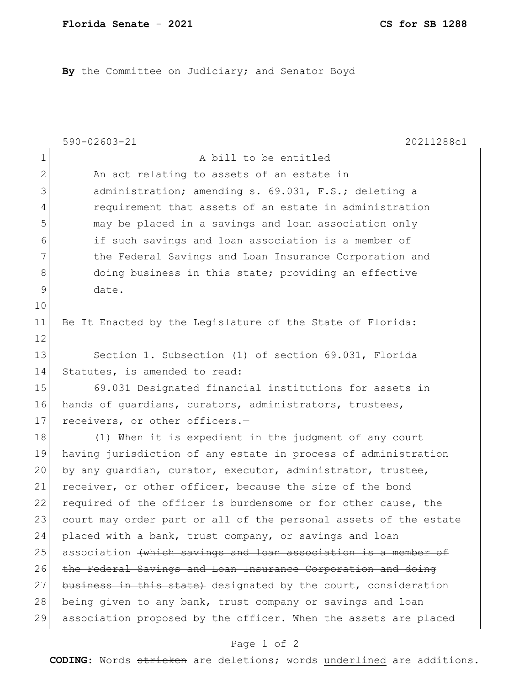By the Committee on Judiciary; and Senator Boyd

|                | 590-02603-21<br>20211288c1                                       |
|----------------|------------------------------------------------------------------|
| $\mathbf 1$    | A bill to be entitled                                            |
| $\overline{2}$ | An act relating to assets of an estate in                        |
| 3              | administration; amending s. 69.031, F.S.; deleting a             |
| $\overline{4}$ | requirement that assets of an estate in administration           |
| 5              | may be placed in a savings and loan association only             |
| 6              | if such savings and loan association is a member of              |
| $7\phantom{.}$ | the Federal Savings and Loan Insurance Corporation and           |
| 8              | doing business in this state; providing an effective             |
| $\mathsf 9$    | date.                                                            |
| 10             |                                                                  |
| 11             | Be It Enacted by the Legislature of the State of Florida:        |
| 12             |                                                                  |
| 13             | Section 1. Subsection (1) of section 69.031, Florida             |
| 14             | Statutes, is amended to read:                                    |
| 15             | 69.031 Designated financial institutions for assets in           |
| 16             | hands of guardians, curators, administrators, trustees,          |
| 17             | receivers, or other officers.-                                   |
| 18             | (1) When it is expedient in the judgment of any court            |
| 19             | having jurisdiction of any estate in process of administration   |
| 20             | by any quardian, curator, executor, administrator, trustee,      |
| 21             | receiver, or other officer, because the size of the bond         |
| 22             | required of the officer is burdensome or for other cause, the    |
| 23             | court may order part or all of the personal assets of the estate |
| 24             | placed with a bank, trust company, or savings and loan           |
| 25             | association (which savings and loan association is a member of   |
| 26             | the Federal Savings and Loan Insurance Corporation and doing     |
| 27             | business in this state) designated by the court, consideration   |
| 28             | being given to any bank, trust company or savings and loan       |
| 29             | association proposed by the officer. When the assets are placed  |
|                | Page 1 of 2                                                      |

**CODING**: Words stricken are deletions; words underlined are additions.